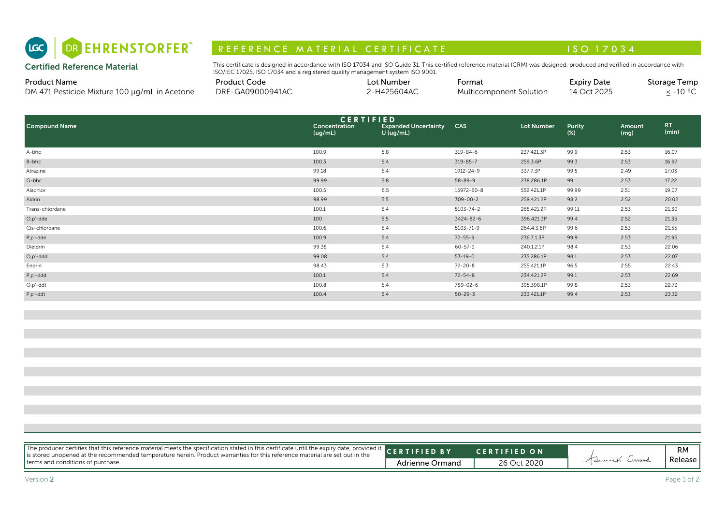

# R E F E R E N C E MAT E RIAL CERTIFICATE A LA COMPRESSIONE DE LA CONSTITUTION A LA CONSTITUTION A LA CONSTITUI

| <b>Product Name</b>                                  | Product Code     | Lot Number  | -ormat                  | <b>Expiry Date</b> | Storage Temp |
|------------------------------------------------------|------------------|-------------|-------------------------|--------------------|--------------|
| DM 471 Pesticide Mixture 100<br>) ua/mL in Acetone . | DRE-GA09000941AC | '-H425604AC | Multicomponent Solution | 14 Oct 2025        | -10 °⊆       |

| DR EHRENSTORFER"<br>(LGC)                                            | REFERENCE MATERIAL CERTIFICATE                                                                                                                                                                                                                              |                          |                                                                |                 |                         | ISO 17034                         |                |                            |
|----------------------------------------------------------------------|-------------------------------------------------------------------------------------------------------------------------------------------------------------------------------------------------------------------------------------------------------------|--------------------------|----------------------------------------------------------------|-----------------|-------------------------|-----------------------------------|----------------|----------------------------|
| <b>Certified Reference Material</b>                                  | This certificate is designed in accordance with ISO 17034 and ISO Guide 31. This certified reference material (CRM) was designed, produced and verified in accordance with<br>ISO/IEC 17025, ISO 17034 and a registered quality management system ISO 9001. |                          |                                                                |                 |                         |                                   |                |                            |
| <b>Product Name</b><br>DM 471 Pesticide Mixture 100 µg/mL in Acetone | <b>Product Code</b><br>DRE-GA09000941AC                                                                                                                                                                                                                     |                          | Lot Number<br>2-H425604AC                                      | Format          | Multicomponent Solution | <b>Expiry Date</b><br>14 Oct 2025 |                | Storage Temp<br>$≤ -10 °C$ |
| <b>Compound Name</b>                                                 |                                                                                                                                                                                                                                                             | Concentration<br>(ug/mL) | <b>CERTIFIED</b><br><b>Expanded Uncertainty</b><br>$U$ (ug/mL) | <b>CAS</b>      | <b>Lot Number</b>       | <b>Purity</b><br>$(\%)$           | Amount<br>(mg) | RT.<br>(min)               |
| A-bhc                                                                |                                                                                                                                                                                                                                                             | 100.9                    | 5.8                                                            | $319 - 84 - 6$  | 237.421.3P              | 99.9                              | 2.53           | 16.07                      |
| B-bhc                                                                |                                                                                                                                                                                                                                                             | 100.3                    | 5.4                                                            | $319 - 85 - 7$  | 259.3.6P                | 99.3                              | 2.53           | 16.97                      |
| Atrazine                                                             |                                                                                                                                                                                                                                                             | 99.18                    | 5.4                                                            | 1912-24-9       | 337.7.3P                | 99.5                              | 2.49           | 17.03                      |
| G-bhc                                                                |                                                                                                                                                                                                                                                             | 99.99                    | 5.8                                                            | $58 - 89 - 9$   | 238.286.1P              | 99                                | 2.53           | 17.22                      |
| Alachlor                                                             |                                                                                                                                                                                                                                                             | 100.5                    | 6.5                                                            | 15972-60-8      | 552.421.1P              | 99.99                             | 2.51           | 19.07                      |
| Aldrin                                                               |                                                                                                                                                                                                                                                             | 98.99                    | 5.5                                                            | $309 - 00 - 2$  | 258.421.2P              | 98.2                              | 2.52           | 20.02                      |
| Trans-chlordane                                                      |                                                                                                                                                                                                                                                             | 100.1                    | 5.4                                                            | $5103 - 74 - 2$ | 265.421.2P              | 99.11                             | 2.53           | 21.30                      |
| $O, p'$ -dde                                                         |                                                                                                                                                                                                                                                             | 100                      | 5.5                                                            | 3424-82-6       | 396.421.3P              | 99.4                              | 2.52           | 21.35                      |
| Cis-chlordane                                                        |                                                                                                                                                                                                                                                             | 100.6                    | 5.4                                                            | $5103 - 71 - 9$ | 264.4.3.6P              | 99.6                              | 2.53           | 21.55                      |
| P,p'-dde                                                             |                                                                                                                                                                                                                                                             | 100.9                    | 5.4                                                            | $72 - 55 - 9$   | 236.7.1.3P              | 99.9                              | 2.53           | 21.95                      |
| Dieldrin                                                             |                                                                                                                                                                                                                                                             | 99.38                    | 5.4                                                            | $60 - 57 - 1$   | 240.1.2.1P              | 98.4                              | 2.53           | 22.06                      |
| $O, p'$ -ddd                                                         |                                                                                                                                                                                                                                                             | 99.08                    | 5.4                                                            | $53 - 19 - 0$   | 235.286.1P              | 98.1                              | 2.53           | 22.07                      |
| Endrin                                                               |                                                                                                                                                                                                                                                             | 98.43                    | 5.3                                                            | $72 - 20 - 8$   | 255.421.1P              | 96.5                              | 2.55           | 22.43                      |
| P,p'-ddd                                                             |                                                                                                                                                                                                                                                             | 100.1                    | 5.4                                                            | $72 - 54 - 8$   | 234.421.2P              | 99.1                              | 2.53           | 22.69                      |
| $O, p'$ -ddt                                                         |                                                                                                                                                                                                                                                             | 100.8                    | 5.4                                                            | 789-02-6        | 395.398.1P              | 99.8                              | 2.53           | 22.73                      |
| P,p'-ddt                                                             |                                                                                                                                                                                                                                                             | 100.4                    | 5.4                                                            | $50 - 29 - 3$   | 233.421.1P              | 99.4                              | 2.53           | 23.32                      |

| The producer certifies that this reference material meets the specification stated in this certificate until the expiry date, provided it CERTIFIED BY<br><b>CERTIFIED ON</b><br>Advisers Orrard<br>Release<br>terms and conditions of purchase.<br><b>Adrienne Ormand</b><br>26 Oct 2020 |  |  |    |
|-------------------------------------------------------------------------------------------------------------------------------------------------------------------------------------------------------------------------------------------------------------------------------------------|--|--|----|
|                                                                                                                                                                                                                                                                                           |  |  |    |
|                                                                                                                                                                                                                                                                                           |  |  | RM |